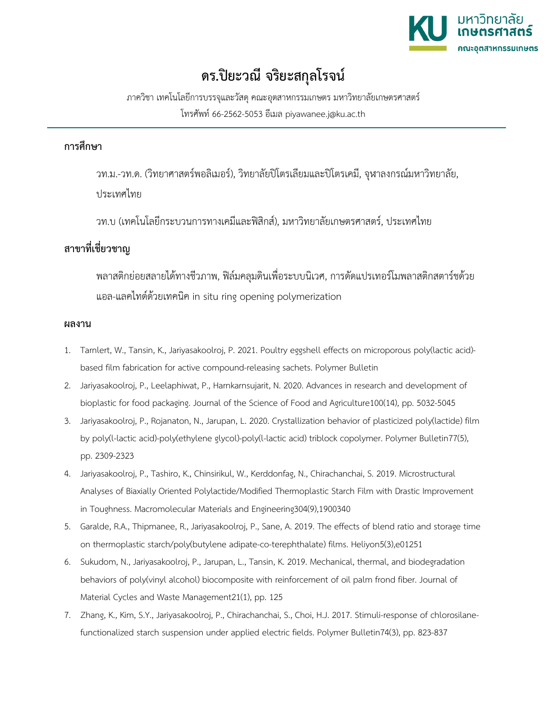

## **ดร.ปยะวณี จริยะสกุลโรจน**

ภาควิชา เทคโนโลยีการบรรจุและวัสดุคณะอุตสาหกรรมเกษตร มหาวิทยาลัยเกษตรศาสตร โทรศัพท 66-2562-5053 อีเมล piyawanee.j@ku.ac.th

## **การศึกษา**

วท.ม.-วท.ด. (วิทยาศาสตรพอลิเมอร), วิทยาลัยปโตรเลียมและปโตรเคมี, จุฬาลงกรณมหาวิทยาลัย, ประเทศไทย

วท.บ (เทคโนโลยีกระบวนการทางเคมีและฟสิกส), มหาวิทยาลัยเกษตรศาสตร, ประเทศไทย

## **สาขาที่เชี่ยวชาญ**

พลาสติกย่อยสลายได้ทางชีวภาพ, ฟิล์มคลุมดินเพื่อระบบนิเวศ, การดัดแปรเทอร์โมพลาสติกสตาร์ชด้วย แอล-แลคไทดดวยเทคนิค in situ ring opening polymerization

## **ผลงาน**

- 1. Tarnlert, W., Tansin, K., Jariyasakoolroj, P. 2021. Poultry eggshell effects on microporous poly(lactic acid) based film fabrication for active compound-releasing sachets. Polymer Bulletin
- 2. Jariyasakoolroj, P., Leelaphiwat, P., Harnkarnsujarit, N. 2020. Advances in research and development of bioplastic for food packaging. Journal of the Science of Food and Agriculture100(14), pp. 5032-5045
- 3. Jariyasakoolroj, P., Rojanaton, N., Jarupan, L. 2020. Crystallization behavior of plasticized poly(lactide) film by poly(l-lactic acid)-poly(ethylene glycol)-poly(l-lactic acid) triblock copolymer. Polymer Bulletin77(5), pp. 2309-2323
- 4. Jariyasakoolroj, P., Tashiro, K., Chinsirikul, W., Kerddonfag, N., Chirachanchai, S. 2019. Microstructural Analyses of Biaxially Oriented Polylactide/Modified Thermoplastic Starch Film with Drastic Improvement in Toughness. Macromolecular Materials and Engineering304(9),1900340
- 5. Garalde, R.A., Thipmanee, R., Jariyasakoolroj, P., Sane, A. 2019. The effects of blend ratio and storage time on thermoplastic starch/poly(butylene adipate-co-terephthalate) films. Heliyon5(3),e01251
- 6. Sukudom, N., Jariyasakoolroj, P., Jarupan, L., Tansin, K. 2019. Mechanical, thermal, and biodegradation behaviors of poly(vinyl alcohol) biocomposite with reinforcement of oil palm frond fiber. Journal of Material Cycles and Waste Management21(1), pp. 125
- 7. Zhang, K., Kim, S.Y., Jariyasakoolroj, P., Chirachanchai, S., Choi, H.J. 2017. Stimuli-response of chlorosilanefunctionalized starch suspension under applied electric fields. Polymer Bulletin74(3), pp. 823-837